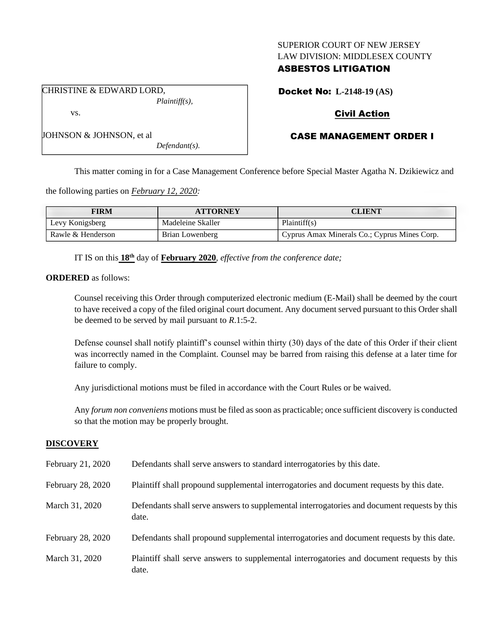### SUPERIOR COURT OF NEW JERSEY LAW DIVISION: MIDDLESEX COUNTY

# ASBESTOS LITIGATION

Docket No: **L-2148-19 (AS)**

# Civil Action

# CASE MANAGEMENT ORDER I

*Defendant(s).*

*Plaintiff(s),*

This matter coming in for a Case Management Conference before Special Master Agatha N. Dzikiewicz and

the following parties on *February 12, 2020:*

CHRISTINE & EDWARD LORD,

JOHNSON & JOHNSON, et al

vs.

| <b>FIRM</b>       | <b>ATTORNEY</b>   | <b>CLIENT</b>                                |
|-------------------|-------------------|----------------------------------------------|
| Levy Konigsberg   | Madeleine Skaller | Plaintiff(s)                                 |
| Rawle & Henderson | Brian Lowenberg   | Cyprus Amax Minerals Co.; Cyprus Mines Corp. |

IT IS on this **18th** day of **February 2020**, *effective from the conference date;*

**ORDERED** as follows:

Counsel receiving this Order through computerized electronic medium (E-Mail) shall be deemed by the court to have received a copy of the filed original court document. Any document served pursuant to this Order shall be deemed to be served by mail pursuant to *R*.1:5-2.

Defense counsel shall notify plaintiff's counsel within thirty (30) days of the date of this Order if their client was incorrectly named in the Complaint. Counsel may be barred from raising this defense at a later time for failure to comply.

Any jurisdictional motions must be filed in accordance with the Court Rules or be waived.

Any *forum non conveniens* motions must be filed as soon as practicable; once sufficient discovery is conducted so that the motion may be properly brought.

## **DISCOVERY**

| February 21, 2020 | Defendants shall serve answers to standard interrogatories by this date.                              |
|-------------------|-------------------------------------------------------------------------------------------------------|
| February 28, 2020 | Plaintiff shall propound supplemental interrogatories and document requests by this date.             |
| March 31, 2020    | Defendants shall serve answers to supplemental interrogatories and document requests by this<br>date. |
| February 28, 2020 | Defendants shall propound supplemental interrogatories and document requests by this date.            |
| March 31, 2020    | Plaintiff shall serve answers to supplemental interrogatories and document requests by this<br>date.  |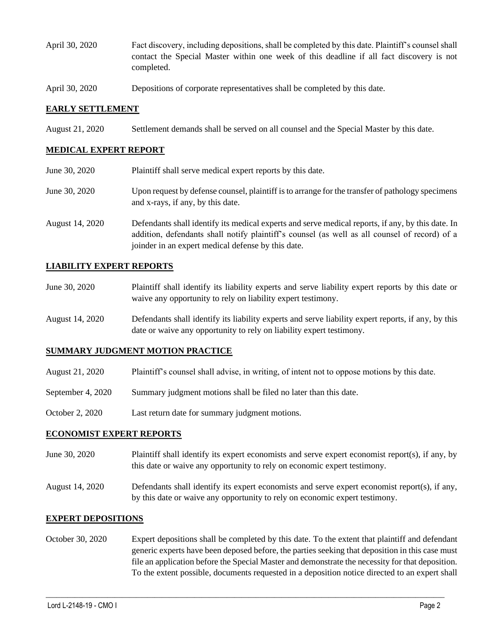- April 30, 2020 Fact discovery, including depositions, shall be completed by this date. Plaintiff's counsel shall contact the Special Master within one week of this deadline if all fact discovery is not completed.
- April 30, 2020 Depositions of corporate representatives shall be completed by this date.

### **EARLY SETTLEMENT**

August 21, 2020 Settlement demands shall be served on all counsel and the Special Master by this date.

## **MEDICAL EXPERT REPORT**

| June 30, 2020   | Plaintiff shall serve medical expert reports by this date.                                                                                                                                                                                               |
|-----------------|----------------------------------------------------------------------------------------------------------------------------------------------------------------------------------------------------------------------------------------------------------|
| June 30, 2020   | Upon request by defense counsel, plaintiff is to arrange for the transfer of pathology specimens<br>and x-rays, if any, by this date.                                                                                                                    |
| August 14, 2020 | Defendants shall identify its medical experts and serve medical reports, if any, by this date. In<br>addition, defendants shall notify plaintiff's counsel (as well as all counsel of record) of a<br>joinder in an expert medical defense by this date. |

### **LIABILITY EXPERT REPORTS**

| June 30, 2020 | Plaintiff shall identify its liability experts and serve liability expert reports by this date or |
|---------------|---------------------------------------------------------------------------------------------------|
|               | waive any opportunity to rely on liability expert testimony.                                      |

August 14, 2020 Defendants shall identify its liability experts and serve liability expert reports, if any, by this date or waive any opportunity to rely on liability expert testimony.

#### **SUMMARY JUDGMENT MOTION PRACTICE**

- August 21, 2020 Plaintiff's counsel shall advise, in writing, of intent not to oppose motions by this date.
- September 4, 2020 Summary judgment motions shall be filed no later than this date.
- October 2, 2020 Last return date for summary judgment motions.

#### **ECONOMIST EXPERT REPORTS**

- June 30, 2020 Plaintiff shall identify its expert economists and serve expert economist report(s), if any, by this date or waive any opportunity to rely on economic expert testimony.
- August 14, 2020 Defendants shall identify its expert economists and serve expert economist report(s), if any, by this date or waive any opportunity to rely on economic expert testimony.

#### **EXPERT DEPOSITIONS**

October 30, 2020 Expert depositions shall be completed by this date. To the extent that plaintiff and defendant generic experts have been deposed before, the parties seeking that deposition in this case must file an application before the Special Master and demonstrate the necessity for that deposition. To the extent possible, documents requested in a deposition notice directed to an expert shall

 $\_$  , and the set of the set of the set of the set of the set of the set of the set of the set of the set of the set of the set of the set of the set of the set of the set of the set of the set of the set of the set of th